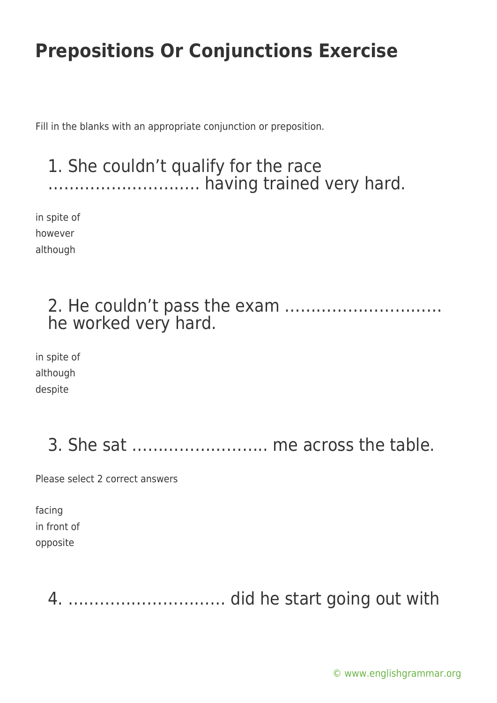Fill in the blanks with an appropriate conjunction or preposition.

### 1. She couldn't qualify for the race ……………………….. having trained very hard.

in spite of however although

### 2. He couldn't pass the exam ………………………… he worked very hard.

in spite of although despite

### 3. She sat …………………….. me across the table.

Please select 2 correct answers

facing in front of opposite

4. ………………………… did he start going out with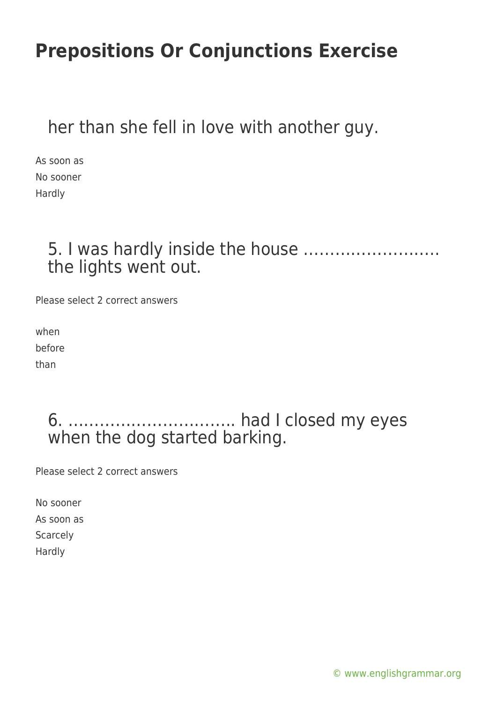### her than she fell in love with another guy.

As soon as No sooner Hardly

### 5. I was hardly inside the house …………………….. the lights went out.

Please select 2 correct answers

when before than

### 6. ………………………….. had I closed my eyes when the dog started barking.

Please select 2 correct answers

No sooner As soon as Scarcely Hardly

[© www.englishgrammar.org](https://www.englishgrammar.org/)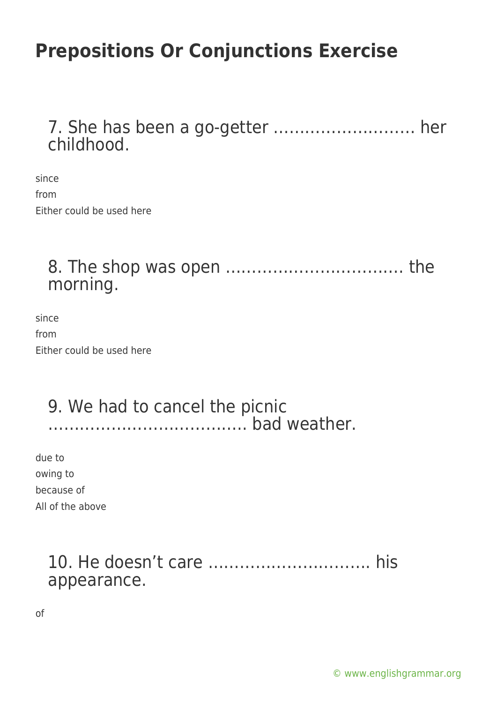#### 7. She has been a go-getter ……………………… her childhood.

since from Either could be used here

### 8. The shop was open ……………………………. the morning.

since from Either could be used here

#### 9. We had to cancel the picnic ……………………………….. bad weather.

due to owing to because of All of the above

#### 10. He doesn't care …………………………. his appearance.

of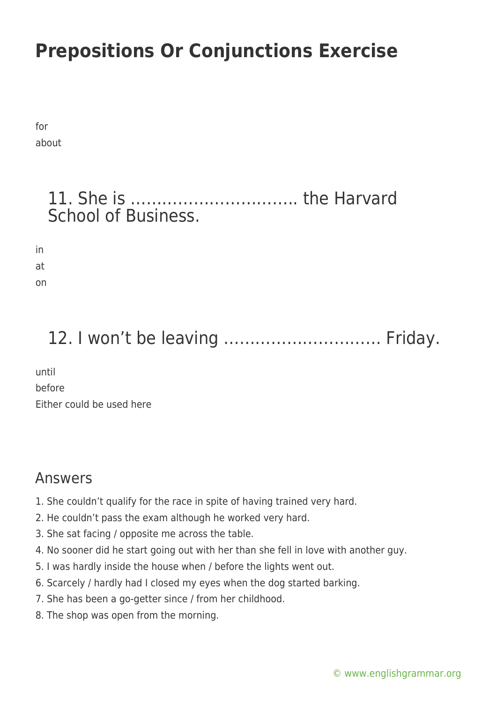for about

#### 11. She is ………………………….. the Harvard School of Business.

in at on

## 12. I won't be leaving ………………………… Friday.

until before Either could be used here

#### Answers

- 1. She couldn't qualify for the race in spite of having trained very hard.
- 2. He couldn't pass the exam although he worked very hard.
- 3. She sat facing / opposite me across the table.
- 4. No sooner did he start going out with her than she fell in love with another guy.
- 5. I was hardly inside the house when / before the lights went out.
- 6. Scarcely / hardly had I closed my eyes when the dog started barking.
- 7. She has been a go-getter since / from her childhood.
- 8. The shop was open from the morning.